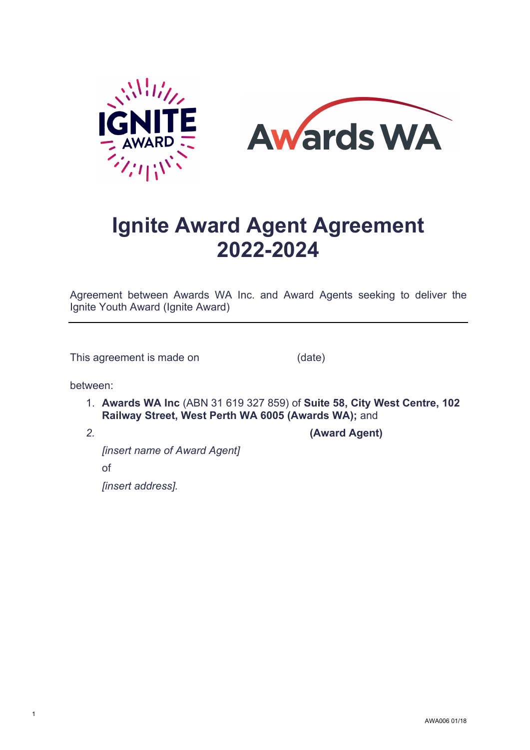



# **Ignite Award Agent Agreement 2022-2024**

Agreement between Awards WA Inc. and Award Agents seeking to deliver the Ignite Youth Award (Ignite Award)

This agreement is made on (date)

between:

1. **Awards WA Inc** (ABN 31 619 327 859) of **Suite 58, City West Centre, 102 Railway Street, West Perth WA 6005 (Awards WA);** and

1

*2.* **(Award Agent)**

*[insert name of Award Agent]*  of *[insert address].*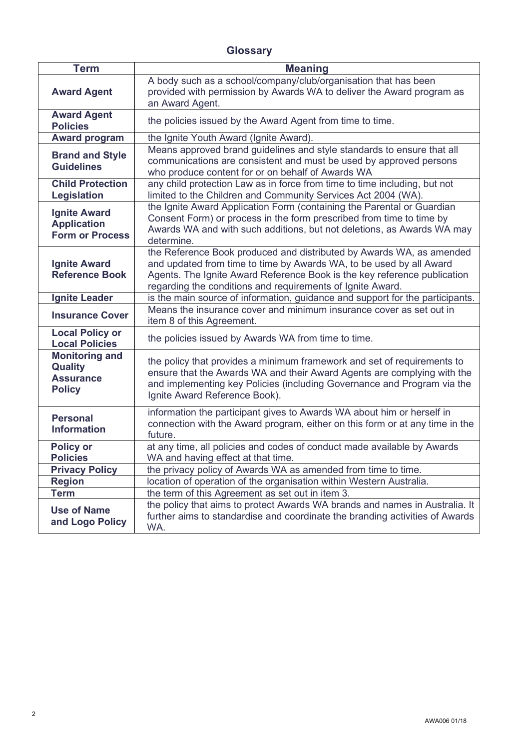# **Glossary**

| <b>Term</b>                                                                  | <b>Meaning</b>                                                                                                                                                                                                                                                                        |
|------------------------------------------------------------------------------|---------------------------------------------------------------------------------------------------------------------------------------------------------------------------------------------------------------------------------------------------------------------------------------|
| <b>Award Agent</b>                                                           | A body such as a school/company/club/organisation that has been<br>provided with permission by Awards WA to deliver the Award program as<br>an Award Agent.                                                                                                                           |
| <b>Award Agent</b><br><b>Policies</b>                                        | the policies issued by the Award Agent from time to time.                                                                                                                                                                                                                             |
| <b>Award program</b>                                                         | the Ignite Youth Award (Ignite Award).                                                                                                                                                                                                                                                |
| <b>Brand and Style</b><br><b>Guidelines</b>                                  | Means approved brand guidelines and style standards to ensure that all<br>communications are consistent and must be used by approved persons<br>who produce content for or on behalf of Awards WA                                                                                     |
| <b>Child Protection</b><br><b>Legislation</b>                                | any child protection Law as in force from time to time including, but not<br>limited to the Children and Community Services Act 2004 (WA).                                                                                                                                            |
| <b>Ignite Award</b><br><b>Application</b><br><b>Form or Process</b>          | the Ignite Award Application Form (containing the Parental or Guardian<br>Consent Form) or process in the form prescribed from time to time by<br>Awards WA and with such additions, but not deletions, as Awards WA may<br>determine.                                                |
| <b>Ignite Award</b><br><b>Reference Book</b>                                 | the Reference Book produced and distributed by Awards WA, as amended<br>and updated from time to time by Awards WA, to be used by all Award<br>Agents. The Ignite Award Reference Book is the key reference publication<br>regarding the conditions and requirements of Ignite Award. |
| <b>Ignite Leader</b>                                                         | is the main source of information, guidance and support for the participants.                                                                                                                                                                                                         |
| <b>Insurance Cover</b>                                                       | Means the insurance cover and minimum insurance cover as set out in<br>item 8 of this Agreement.                                                                                                                                                                                      |
| <b>Local Policy or</b><br><b>Local Policies</b>                              | the policies issued by Awards WA from time to time.                                                                                                                                                                                                                                   |
| <b>Monitoring and</b><br><b>Quality</b><br><b>Assurance</b><br><b>Policy</b> | the policy that provides a minimum framework and set of requirements to<br>ensure that the Awards WA and their Award Agents are complying with the<br>and implementing key Policies (including Governance and Program via the<br>Ignite Award Reference Book).                        |
| <b>Personal</b><br><b>Information</b>                                        | information the participant gives to Awards WA about him or herself in<br>connection with the Award program, either on this form or at any time in the<br>future.                                                                                                                     |
| <b>Policy or</b><br><b>Policies</b>                                          | at any time, all policies and codes of conduct made available by Awards<br>WA and having effect at that time.                                                                                                                                                                         |
| <b>Privacy Policy</b>                                                        | the privacy policy of Awards WA as amended from time to time.                                                                                                                                                                                                                         |
| <b>Region</b>                                                                | location of operation of the organisation within Western Australia.                                                                                                                                                                                                                   |
| <b>Term</b>                                                                  | the term of this Agreement as set out in item 3.                                                                                                                                                                                                                                      |
| <b>Use of Name</b><br>and Logo Policy                                        | the policy that aims to protect Awards WA brands and names in Australia. It<br>further aims to standardise and coordinate the branding activities of Awards<br>WA.                                                                                                                    |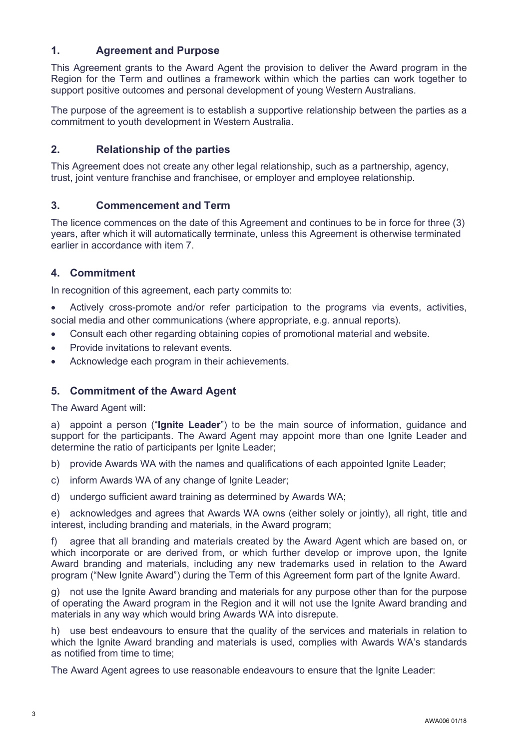# **1. Agreement and Purpose**

This Agreement grants to the Award Agent the provision to deliver the Award program in the Region for the Term and outlines a framework within which the parties can work together to support positive outcomes and personal development of young Western Australians.

The purpose of the agreement is to establish a supportive relationship between the parties as a commitment to youth development in Western Australia.

# **2. Relationship of the parties**

This Agreement does not create any other legal relationship, such as a partnership, agency, trust, joint venture franchise and franchisee, or employer and employee relationship.

#### **3. Commencement and Term**

The licence commences on the date of this Agreement and continues to be in force for three (3) years, after which it will automatically terminate, unless this Agreement is otherwise terminated earlier in accordance with item 7.

# **4. Commitment**

In recognition of this agreement, each party commits to:

- Actively cross-promote and/or refer participation to the programs via events, activities, social media and other communications (where appropriate, e.g. annual reports).
- Consult each other regarding obtaining copies of promotional material and website.
- Provide invitations to relevant events.
- Acknowledge each program in their achievements.

#### **5. Commitment of the Award Agent**

The Award Agent will:

a) appoint a person ("**Ignite Leader**") to be the main source of information, guidance and support for the participants. The Award Agent may appoint more than one Ignite Leader and determine the ratio of participants per Ignite Leader;

b) provide Awards WA with the names and qualifications of each appointed Ignite Leader;

- c) inform Awards WA of any change of Ignite Leader;
- d) undergo sufficient award training as determined by Awards WA;

e) acknowledges and agrees that Awards WA owns (either solely or jointly), all right, title and interest, including branding and materials, in the Award program;

f) agree that all branding and materials created by the Award Agent which are based on, or which incorporate or are derived from, or which further develop or improve upon, the lanite Award branding and materials, including any new trademarks used in relation to the Award program ("New Ignite Award") during the Term of this Agreement form part of the Ignite Award.

g) not use the Ignite Award branding and materials for any purpose other than for the purpose of operating the Award program in the Region and it will not use the Ignite Award branding and materials in any way which would bring Awards WA into disrepute.

h) use best endeavours to ensure that the quality of the services and materials in relation to which the Ignite Award branding and materials is used, complies with Awards WA's standards as notified from time to time;

The Award Agent agrees to use reasonable endeavours to ensure that the Ignite Leader: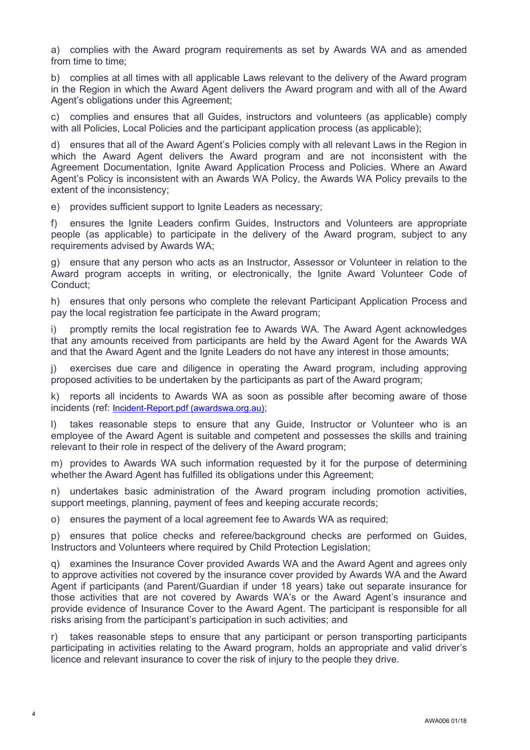a) complies with the Award program requirements as set by Awards WA and as amended from time to time:

b) complies at all times with all applicable Laws relevant to the delivery of the Award program in the Region in which the Award Agent delivers the Award program and with all of the Award Agent's obligations under this Agreement;

c) complies and ensures that all Guides, instructors and volunteers (as applicable) comply with all Policies, Local Policies and the participant application process (as applicable);

d) ensures that all of the Award Agent's Policies comply with all relevant Laws in the Region in which the Award Agent delivers the Award program and are not inconsistent with the Agreement Documentation, Ignite Award Application Process and Policies. Where an Award Agent's Policy is inconsistent with an Awards WA Policy, the Awards WA Policy prevails to the extent of the inconsistency;

e) provides sufficient support to Ignite Leaders as necessary;

f) ensures the Ignite Leaders confirm Guides, Instructors and Volunteers are appropriate people (as applicable) to participate in the delivery of the Award program, subject to any requirements advised by Awards WA;

g) ensure that any person who acts as an Instructor, Assessor or Volunteer in relation to the Award program accepts in writing, or electronically, the Ignite Award Volunteer Code of Conduct;

h) ensures that only persons who complete the relevant Participant Application Process and pay the local registration fee participate in the Award program;

i) promptly remits the local registration fee to Awards WA. The Award Agent acknowledges that any amounts received from participants are held by the Award Agent for the Awards WA and that the Award Agent and the Ignite Leaders do not have any interest in those amounts;

j) exercises due care and diligence in operating the Award program, including approving proposed activities to be undertaken by the participants as part of the Award program;

k) reports all incidents to Awards WA as soon as possible after becoming aware of those incidents (ref: [Incident-Report.pdf \(awardswa.org.au\);](https://www.awardswa.org.au/wp-content/uploads/2020/12/Incident-Report.pdf)

l) takes reasonable steps to ensure that any Guide, Instructor or Volunteer who is an employee of the Award Agent is suitable and competent and possesses the skills and training relevant to their role in respect of the delivery of the Award program;

m) provides to Awards WA such information requested by it for the purpose of determining whether the Award Agent has fulfilled its obligations under this Agreement;

n) undertakes basic administration of the Award program including promotion activities, support meetings, planning, payment of fees and keeping accurate records;

o) ensures the payment of a local agreement fee to Awards WA as required;

p) ensures that police checks and referee/background checks are performed on Guides, Instructors and Volunteers where required by Child Protection Legislation;

q) examines the Insurance Cover provided Awards WA and the Award Agent and agrees only to approve activities not covered by the insurance cover provided by Awards WA and the Award Agent if participants (and Parent/Guardian if under 18 years) take out separate insurance for those activities that are not covered by Awards WA's or the Award Agent's insurance and provide evidence of Insurance Cover to the Award Agent. The participant is responsible for all risks arising from the participant's participation in such activities; and

r) takes reasonable steps to ensure that any participant or person transporting participants participating in activities relating to the Award program, holds an appropriate and valid driver's licence and relevant insurance to cover the risk of injury to the people they drive.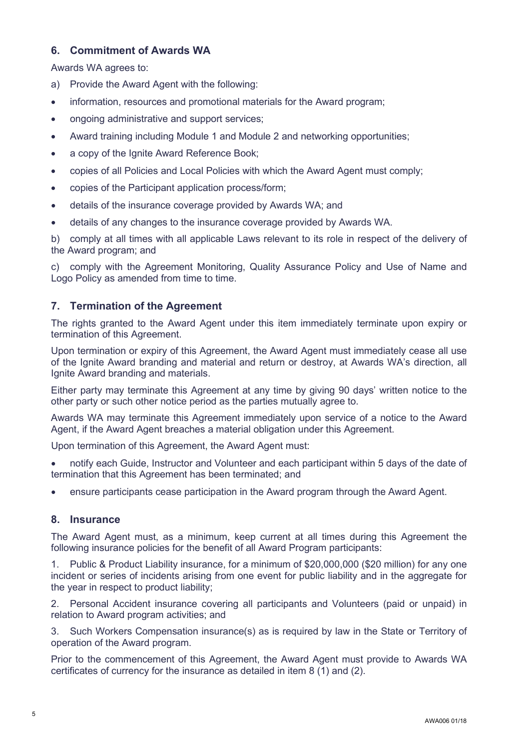# **6. Commitment of Awards WA**

Awards WA agrees to:

- a) Provide the Award Agent with the following:
- information, resources and promotional materials for the Award program;
- ongoing administrative and support services;
- Award training including Module 1 and Module 2 and networking opportunities;
- a copy of the Ignite Award Reference Book;
- copies of all Policies and Local Policies with which the Award Agent must comply;
- copies of the Participant application process/form;
- details of the insurance coverage provided by Awards WA; and
- details of any changes to the insurance coverage provided by Awards WA.

b) comply at all times with all applicable Laws relevant to its role in respect of the delivery of the Award program; and

c) comply with the Agreement Monitoring, Quality Assurance Policy and Use of Name and Logo Policy as amended from time to time.

# **7. Termination of the Agreement**

The rights granted to the Award Agent under this item immediately terminate upon expiry or termination of this Agreement.

Upon termination or expiry of this Agreement, the Award Agent must immediately cease all use of the Ignite Award branding and material and return or destroy, at Awards WA's direction, all Ignite Award branding and materials.

Either party may terminate this Agreement at any time by giving 90 days' written notice to the other party or such other notice period as the parties mutually agree to.

Awards WA may terminate this Agreement immediately upon service of a notice to the Award Agent, if the Award Agent breaches a material obligation under this Agreement.

Upon termination of this Agreement, the Award Agent must:

- notify each Guide, Instructor and Volunteer and each participant within 5 days of the date of termination that this Agreement has been terminated; and
- ensure participants cease participation in the Award program through the Award Agent.

#### **8. Insurance**

The Award Agent must, as a minimum, keep current at all times during this Agreement the following insurance policies for the benefit of all Award Program participants:

1. Public & Product Liability insurance, for a minimum of \$20,000,000 (\$20 million) for any one incident or series of incidents arising from one event for public liability and in the aggregate for the year in respect to product liability;

2. Personal Accident insurance covering all participants and Volunteers (paid or unpaid) in relation to Award program activities; and

3. Such Workers Compensation insurance(s) as is required by law in the State or Territory of operation of the Award program.

Prior to the commencement of this Agreement, the Award Agent must provide to Awards WA certificates of currency for the insurance as detailed in item 8 (1) and (2).